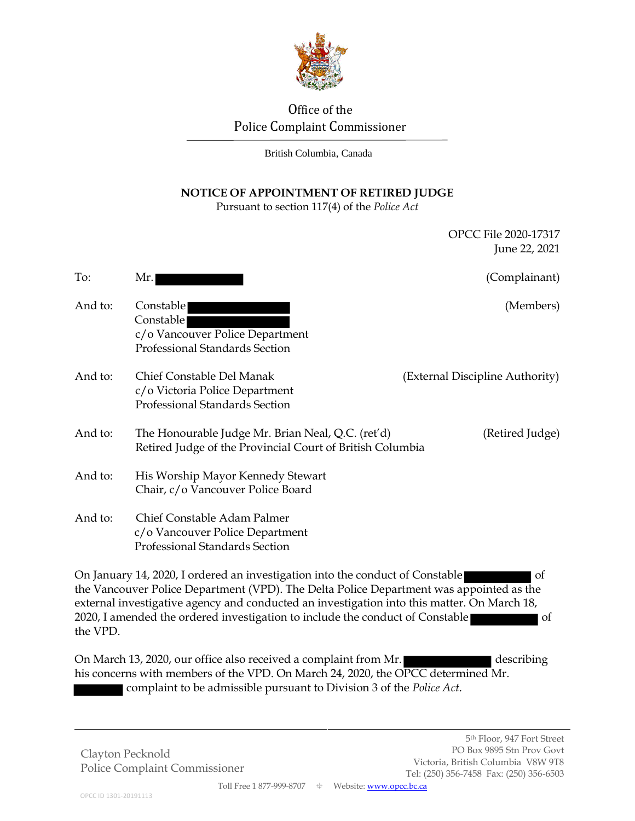

# Office of the Police Complaint Commissioner

British Columbia, Canada

## **NOTICE OF APPOINTMENT OF RETIRED JUDGE**

Pursuant to section 117(4) of the *Police Act*

|          |                                                                                                                                                                                                                                                                                                                                                          | OPCC File 2020-17317<br>June 22, 2021 |
|----------|----------------------------------------------------------------------------------------------------------------------------------------------------------------------------------------------------------------------------------------------------------------------------------------------------------------------------------------------------------|---------------------------------------|
| To:      | Mr.                                                                                                                                                                                                                                                                                                                                                      | (Complainant)                         |
| And to:  | Constable<br>Constable<br>c/o Vancouver Police Department<br>Professional Standards Section                                                                                                                                                                                                                                                              | (Members)                             |
| And to:  | Chief Constable Del Manak<br>c/o Victoria Police Department<br>Professional Standards Section                                                                                                                                                                                                                                                            | (External Discipline Authority)       |
| And to:  | The Honourable Judge Mr. Brian Neal, Q.C. (ret'd)<br>Retired Judge of the Provincial Court of British Columbia                                                                                                                                                                                                                                           | (Retired Judge)                       |
| And to:  | His Worship Mayor Kennedy Stewart<br>Chair, c/o Vancouver Police Board                                                                                                                                                                                                                                                                                   |                                       |
| And to:  | Chief Constable Adam Palmer<br>c/o Vancouver Police Department<br>Professional Standards Section                                                                                                                                                                                                                                                         |                                       |
| the VPD. | On January 14, 2020, I ordered an investigation into the conduct of Constable<br>the Vancouver Police Department (VPD). The Delta Police Department was appointed as the<br>external investigative agency and conducted an investigation into this matter. On March 18,<br>2020, I amended the ordered investigation to include the conduct of Constable | οf<br>of                              |
|          | On March 13, 2020, our office also received a complaint from Mr.                                                                                                                                                                                                                                                                                         | describing                            |

On March 13, 2020, our office also received a complaint from Mr. his concerns with members of the VPD. On March 24, 2020, the OPCC determined Mr. complaint to be admissible pursuant to Division 3 of the *Police Act*.

Clayton Pecknold Police Complaint Commissioner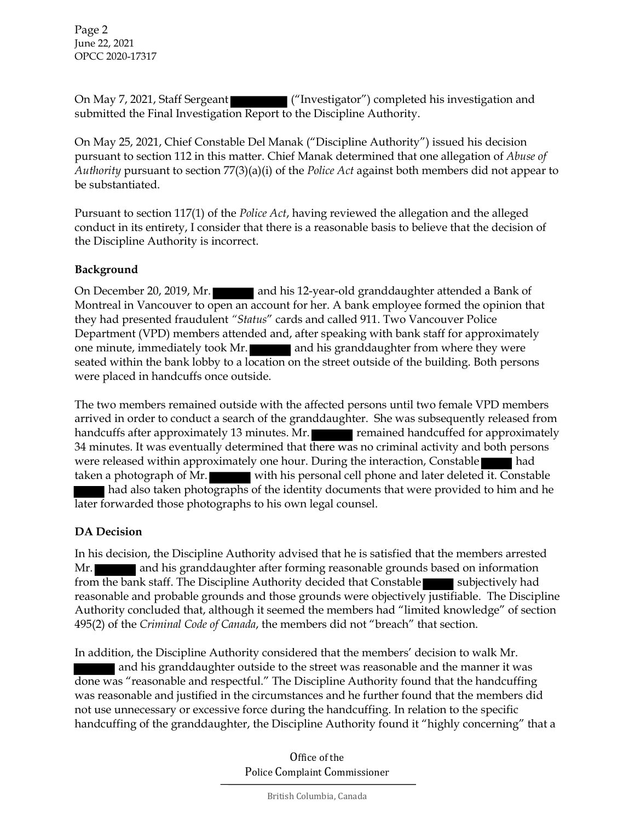Page 2 June 22, 2021 OPCC 2020-17317

On May 7, 2021, Staff Sergeant ("Investigator") completed his investigation and submitted the Final Investigation Report to the Discipline Authority.

On May 25, 2021, Chief Constable Del Manak ("Discipline Authority") issued his decision pursuant to section 112 in this matter. Chief Manak determined that one allegation of *Abuse of Authority* pursuant to section 77(3)(a)(i) of the *Police Act* against both members did not appear to be substantiated.

Pursuant to section 117(1) of the *Police Act*, having reviewed the allegation and the alleged conduct in its entirety, I consider that there is a reasonable basis to believe that the decision of the Discipline Authority is incorrect.

#### **Background**

On December 20, 2019, Mr. **and his 12-year-old granddaughter attended a Bank of** Montreal in Vancouver to open an account for her. A bank employee formed the opinion that they had presented fraudulent *"Status*" cards and called 911. Two Vancouver Police Department (VPD) members attended and, after speaking with bank staff for approximately one minute, immediately took Mr. and his granddaughter from where they were seated within the bank lobby to a location on the street outside of the building. Both persons were placed in handcuffs once outside.

The two members remained outside with the affected persons until two female VPD members arrived in order to conduct a search of the granddaughter. She was subsequently released from handcuffs after approximately 13 minutes. Mr. **Figure 12 minutes** remained handcuffed for approximately 34 minutes. It was eventually determined that there was no criminal activity and both persons were released within approximately one hour. During the interaction, Constable had taken a photograph of Mr. with his personal cell phone and later deleted it. Constable had also taken photographs of the identity documents that were provided to him and he later forwarded those photographs to his own legal counsel.

#### **DA Decision**

In his decision, the Discipline Authority advised that he is satisfied that the members arrested Mr. and his granddaughter after forming reasonable grounds based on information from the bank staff. The Discipline Authority decided that Constable subjectively had reasonable and probable grounds and those grounds were objectively justifiable. The Discipline Authority concluded that, although it seemed the members had "limited knowledge" of section 495(2) of the *Criminal Code of Canada*, the members did not "breach" that section.

In addition, the Discipline Authority considered that the members' decision to walk Mr. and his granddaughter outside to the street was reasonable and the manner it was done was "reasonable and respectful." The Discipline Authority found that the handcuffing was reasonable and justified in the circumstances and he further found that the members did not use unnecessary or excessive force during the handcuffing. In relation to the specific handcuffing of the granddaughter, the Discipline Authority found it "highly concerning" that a

> Office of the Police Complaint Commissioner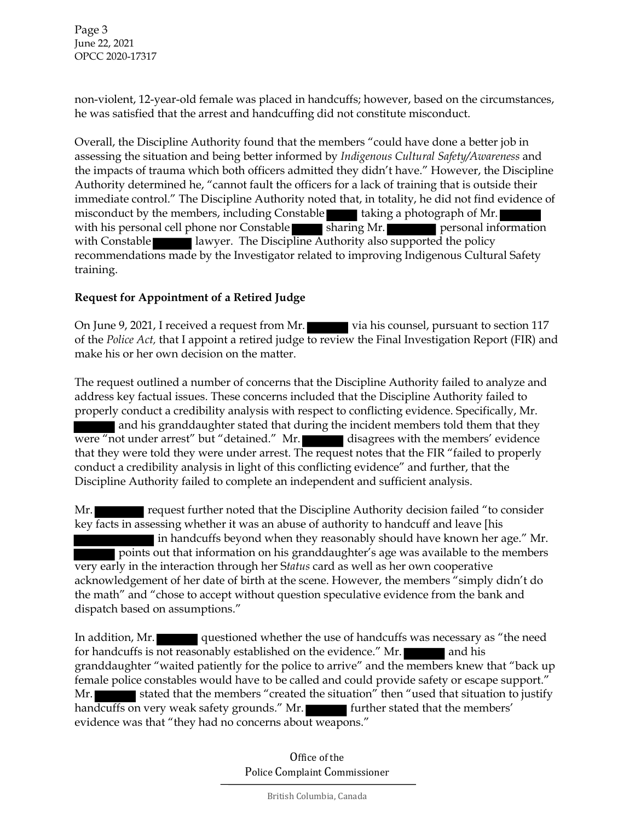Page 3 June 22, 2021 OPCC 2020-17317

non-violent, 12-year-old female was placed in handcuffs; however, based on the circumstances, he was satisfied that the arrest and handcuffing did not constitute misconduct.

Overall, the Discipline Authority found that the members "could have done a better job in assessing the situation and being better informed by *Indigenous Cultural Safety/Awareness* and the impacts of trauma which both officers admitted they didn't have." However, the Discipline Authority determined he, "cannot fault the officers for a lack of training that is outside their immediate control." The Discipline Authority noted that, in totality, he did not find evidence of misconduct by the members, including Constable taking a photograph of Mr. with his personal cell phone nor Constable  $\overline{\phantom{1}}$  sharing Mr. personal information with Constable lawyer. The Discipline Authority also supported the policy recommendations made by the Investigator related to improving Indigenous Cultural Safety training.

#### **Request for Appointment of a Retired Judge**

On June 9, 2021, I received a request from Mr. via his counsel, pursuant to section 117 of the *Police Act,* that I appoint a retired judge to review the Final Investigation Report (FIR) and make his or her own decision on the matter.

The request outlined a number of concerns that the Discipline Authority failed to analyze and address key factual issues. These concerns included that the Discipline Authority failed to properly conduct a credibility analysis with respect to conflicting evidence. Specifically, Mr. and his granddaughter stated that during the incident members told them that they were "not under arrest" but "detained." Mr. disagrees with the members' evidence that they were told they were under arrest. The request notes that the FIR "failed to properly conduct a credibility analysis in light of this conflicting evidence" and further, that the Discipline Authority failed to complete an independent and sufficient analysis.

Mr. request further noted that the Discipline Authority decision failed "to consider key facts in assessing whether it was an abuse of authority to handcuff and leave [his in handcuffs beyond when they reasonably should have known her age." Mr. points out that information on his granddaughter's age was available to the members very early in the interaction through her S*tatus* card as well as her own cooperative acknowledgement of her date of birth at the scene. However, the members "simply didn't do the math" and "chose to accept without question speculative evidence from the bank and dispatch based on assumptions."

In addition, Mr. questioned whether the use of handcuffs was necessary as "the need" for handcuffs is not reasonably established on the evidence." Mr. granddaughter "waited patiently for the police to arrive" and the members knew that "back up female police constables would have to be called and could provide safety or escape support." Mr. stated that the members "created the situation" then "used that situation to justify handcuffs on very weak safety grounds." Mr. **Further stated that the members'** evidence was that "they had no concerns about weapons."

> Office of the Police Complaint Commissioner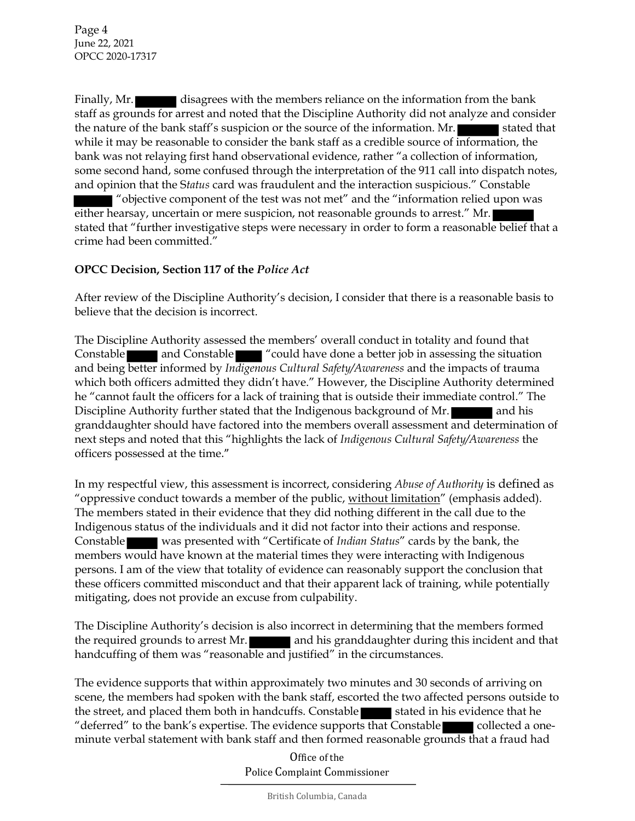Finally, Mr. disagrees with the members reliance on the information from the bank staff as grounds for arrest and noted that the Discipline Authority did not analyze and consider the nature of the bank staff's suspicion or the source of the information. Mr. stated that while it may be reasonable to consider the bank staff as a credible source of information, the bank was not relaying first hand observational evidence, rather "a collection of information, some second hand, some confused through the interpretation of the 911 call into dispatch notes, and opinion that the S*tatus* card was fraudulent and the interaction suspicious." Constable

"objective component of the test was not met" and the "information relied upon was either hearsay, uncertain or mere suspicion, not reasonable grounds to arrest." Mr. stated that "further investigative steps were necessary in order to form a reasonable belief that a crime had been committed."

### **OPCC Decision, Section 117 of the** *Police Act*

After review of the Discipline Authority's decision, I consider that there is a reasonable basis to believe that the decision is incorrect.

The Discipline Authority assessed the members' overall conduct in totality and found that Constable and Constable "could have done a better job in assessing the situation and being better informed by *Indigenous Cultural Safety/Awareness* and the impacts of trauma which both officers admitted they didn't have." However, the Discipline Authority determined he "cannot fault the officers for a lack of training that is outside their immediate control." The Discipline Authority further stated that the Indigenous background of Mr. and his granddaughter should have factored into the members overall assessment and determination of next steps and noted that this "highlights the lack of *Indigenous Cultural Safety/Awareness* the officers possessed at the time."

In my respectful view, this assessment is incorrect, considering *Abuse of Authority* is defined as "oppressive conduct towards a member of the public, without limitation" (emphasis added). The members stated in their evidence that they did nothing different in the call due to the Indigenous status of the individuals and it did not factor into their actions and response. Constable was presented with "Certificate of *Indian Status*" cards by the bank, the members would have known at the material times they were interacting with Indigenous persons. I am of the view that totality of evidence can reasonably support the conclusion that these officers committed misconduct and that their apparent lack of training, while potentially mitigating, does not provide an excuse from culpability.

The Discipline Authority's decision is also incorrect in determining that the members formed the required grounds to arrest Mr. **and his granddaughter during this incident and that** handcuffing of them was "reasonable and justified" in the circumstances.

The evidence supports that within approximately two minutes and 30 seconds of arriving on scene, the members had spoken with the bank staff, escorted the two affected persons outside to the street, and placed them both in handcuffs. Constable stated in his evidence that he "deferred" to the bank's expertise. The evidence supports that Constable collected a oneminute verbal statement with bank staff and then formed reasonable grounds that a fraud had

> Office of the Police Complaint Commissioner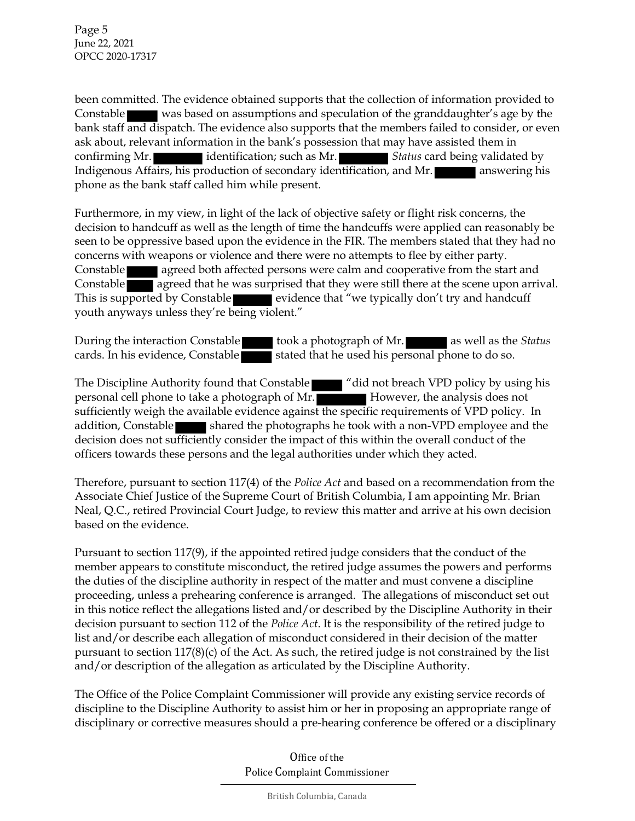Page 5 June 22, 2021 OPCC 2020-17317

been committed. The evidence obtained supports that the collection of information provided to Constable was based on assumptions and speculation of the granddaughter's age by the bank staff and dispatch. The evidence also supports that the members failed to consider, or even ask about, relevant information in the bank's possession that may have assisted them in confirming Mr. identification; such as Mr. **Status** card being validated by Indigenous Affairs, his production of secondary identification, and Mr. **All answering his** phone as the bank staff called him while present.

Furthermore, in my view, in light of the lack of objective safety or flight risk concerns, the decision to handcuff as well as the length of time the handcuffs were applied can reasonably be seen to be oppressive based upon the evidence in the FIR. The members stated that they had no concerns with weapons or violence and there were no attempts to flee by either party. Constable **agreed both affected persons were calm and cooperative from the start and** Constable agreed that he was surprised that they were still there at the scene upon arrival. This is supported by Constable **Exercise evidence that "we typically don't try and handcuff** youth anyways unless they're being violent."

During the interaction Constable took a photograph of Mr. **as well as the** *Status* cards. In his evidence, Constable stated that he used his personal phone to do so.

The Discipline Authority found that Constable The "did not breach VPD policy by using his personal cell phone to take a photograph of Mr. However, the analysis does not sufficiently weigh the available evidence against the specific requirements of VPD policy. In addition, Constable shared the photographs he took with a non-VPD employee and the decision does not sufficiently consider the impact of this within the overall conduct of the officers towards these persons and the legal authorities under which they acted.

Therefore, pursuant to section 117(4) of the *Police Act* and based on a recommendation from the Associate Chief Justice of the Supreme Court of British Columbia, I am appointing Mr. Brian Neal, Q.C., retired Provincial Court Judge, to review this matter and arrive at his own decision based on the evidence.

Pursuant to section 117(9), if the appointed retired judge considers that the conduct of the member appears to constitute misconduct, the retired judge assumes the powers and performs the duties of the discipline authority in respect of the matter and must convene a discipline proceeding, unless a prehearing conference is arranged. The allegations of misconduct set out in this notice reflect the allegations listed and/or described by the Discipline Authority in their decision pursuant to section 112 of the *Police Act*. It is the responsibility of the retired judge to list and/or describe each allegation of misconduct considered in their decision of the matter pursuant to section  $117(8)(c)$  of the Act. As such, the retired judge is not constrained by the list and/or description of the allegation as articulated by the Discipline Authority.

The Office of the Police Complaint Commissioner will provide any existing service records of discipline to the Discipline Authority to assist him or her in proposing an appropriate range of disciplinary or corrective measures should a pre-hearing conference be offered or a disciplinary

> Office of the Police Complaint Commissioner